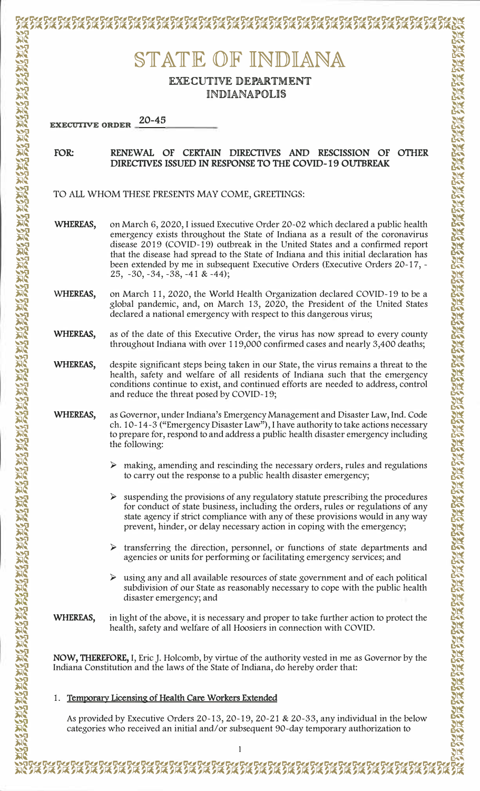# STATE OF INDIANA EXECUTIVE DEPARTMENT **INDIANAPOLIS**  $20 - 45$ **EXECUTIVE ORDER** RENEWAL OF CERTAIN DIRECTIVES AND RESCISSION OF OTHER FOR: DIRECTIVES ISSUED IN RESPONSE TO THE COVID-19 OUTBREAK TO ALL WHOM THESE PRESENTS MAY COME, GREETINGS: WHEREAS, on March 6, 2020, I issued Executive Order 20-02 which declared a public health emergency exists throughout the State of Indiana as a result of the coronavirus disease 2019 (COVID-19) outbreak in the United States and a confirmed report that the disease had spread to the State of Indiana and this initial declaration has been extended by me in subsequent Executive Orders (Executive Orders 20-17, - $25, -30, -34, -38, -41 & 44);$ on March 11, 2020, the World Health Organization declared COVID-19 to be a WHEREAS, global pandemic, and, on March 13, 2020, the President of the United States declared a national emergency with respect to this dangerous virus; WHEREAS, as of the date of this Executive Order, the virus has now spread to every county throughout Indiana with over 119,000 confirmed cases and nearly 3,400 deaths; WHEREAS, despite significant steps being taken in our State, the virus remains a threat to the health, safety and welfare of all residents of Indiana such that the emergency conditions continue to exist, and continued efforts are needed to address, control and reduce the threat posed by COVID-19; WHEREAS, as Governor, under Indiana's Emergency Management and Disaster Law, Ind. Code ch. 10-14-3 ("Emergency Disaster Law"), I have authority to take actions necessary to prepare for, respond to and address a public health disaster emergency including the following:  $\triangleright$  making, amending and rescinding the necessary orders, rules and regulations to carry out the response to a public health disaster emergency;  $\triangleright$  suspending the provisions of any regulatory statute prescribing the procedures for conduct of state business, including the orders, rules or regulations of any state agency if strict compliance with any of these provisions would in any way prevent, hinder, or delay necessary action in coping with the emergency;  $\triangleright$  transferring the direction, personnel, or functions of state departments and agencies or units for performing or facilitating emergency services; and  $\triangleright$  using any and all available resources of state government and of each political subdivision of our State as reasonably necessary to cope with the public health disaster emergency; and in light of the above, it is necessary and proper to take further action to protect the WHEREAS, health, safety and welfare of all Hoosiers in connection with COVID. NOW, THEREFORE, I, Eric J. Holcomb, by virtue of the authority vested in me as Governor by the Indiana Constitution and the laws of the State of Indiana, do hereby order that: 1. Temporary Licensing of Health Care Workers Extended

As provided by Executive Orders 20-13, 20-19, 20-21 & 20-33, any individual in the below categories who received an initial and/or subsequent 90-day temporary authorization to

EXPRESERVED PORTO REPORT OF THE TRIPORT TO PORTO REPORT TO PORTO REPORT

**KARA AKARA AKARA AKARA AKARA AKARA AKARA AKARA AKARA AKARA AKARA AKARA AKARA AKARA AKARA AKARA AKARA AKARA AKA**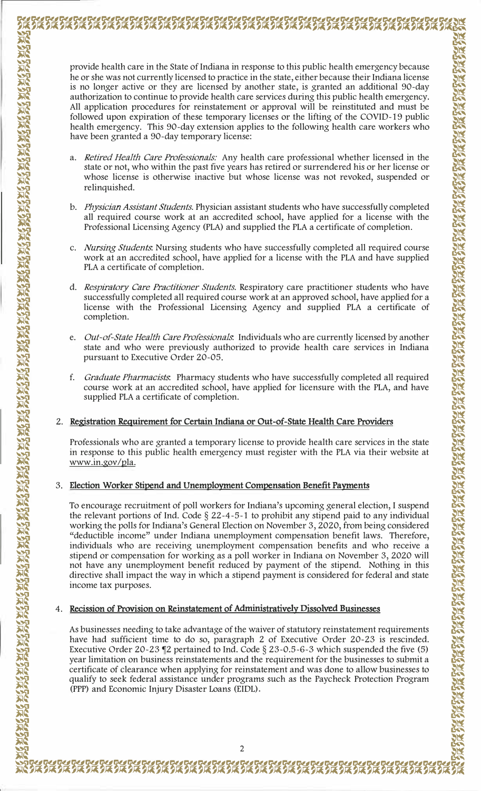provide health care in the State of Indiana in response to this public health emergency because he or she was not currently licensed to practice in the state, either because their Indiana license is no longer active or they are licensed by another state, is granted an additional 90-day authorization to continue to provide health care services during this public health emergency. All application procedures for reinstatement or approval will be reinstituted and must be followed upon expiration of these temporary licenses or the lifting of the COVID-19 public health emergency. This 90-day extension applies to the following health care workers who have been granted a 90-day temporary license:

- a. Retired Health Care Professionals: Any health care professional whether licensed in the state or not, who within the past five years has retired or surrendered his or her license or whose license is otherwise inactive but whose license was not revoked, suspended or relinquished.
- b. Physician Assistant Students. Physician assistant students who have successfully completed all required course work at an accredited school, have applied for a license with the Professional Licensing Agency (PLA) and supplied the PLA a certificate of completion.
- c. Nursing Students. Nursing students who have successfully completed all required course work at an accredited school, have applied for a license with the PLA and have supplied PLA a certificate of completion.
- d. Respiratory Care Practitioner Students. Respiratory care practitioner students who have successfully completed all required course work at an approved school, have applied for a license with the Professional Licensing Agency and supplied PLA a certificate of completion.
- e. Out-of-State Health Care Professionals. Individuals who are currently licensed by another state and who were previously authorized to provide health care services in Indiana pursuant to Executive Order 20-05.
- *Graduate Pharmacists.* Pharmacy students who have successfully completed all required  $f_{-}$ course work at an accredited school, have applied for licensure with the PLA, and have supplied PLA a certificate of completion.

## 2. Registration Requirement for Certain Indiana or Out-of-State Health Care Providers

Professionals who are granted a temporary license to provide health care services in the state in response to this public health emergency must register with the PLA via their website at www.in.gov/pla.

# 3. Election Worker Stipend and Unemployment Compensation Benefit Payments

To encourage recruitment of poll workers for Indiana's upcoming general election, I suspend the relevant portions of Ind. Code  $\S$  22-4-5-1 to prohibit any stipend paid to any individual working the polls for Indiana's General Election on November 3, 2020, from being considered "deductible income" under Indiana unemployment compensation benefit laws. Therefore, individuals who are receiving unemployment compensation benefits and who receive a stipend or compensation for working as a poll worker in Indiana on November 3, 2020 will not have any unemployment benefit reduced by payment of the stipend. Nothing in this directive shall impact the way in which a stipend payment is considered for federal and state income tax purposes.

## 4. Recission of Provision on Reinstatement of Administratively Dissolved Businesses

**方式之外之外之外之外之人之人之人之人** 

As businesses needing to take advantage of the waiver of statutory reinstatement requirements have had sufficient time to do so, paragraph 2 of Executive Order 20-23 is rescinded. Executive Order 20-23 ¶2 pertained to Ind. Code  $\S 23$ -0.5-6-3 which suspended the five (5) year limitation on business reinstatements and the requirement for the businesses to submit a certificate of clearance when applying for reinstatement and was done to allow businesses to qualify to seek federal assistance under programs such as the Paycheck Protection Program (PPP) and Economic Injury Disaster Loans (EIDL).